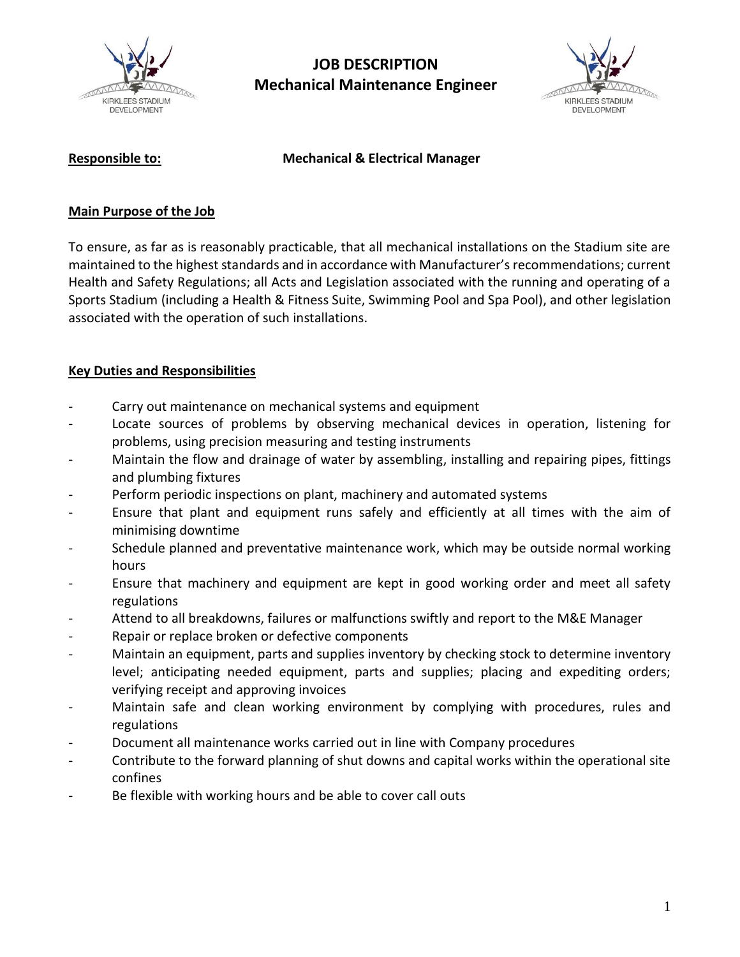

# **JOB DESCRIPTION Mechanical Maintenance Engineer**



## **Responsible to: Mechanical & Electrical Manager**

### **Main Purpose of the Job**

To ensure, as far as is reasonably practicable, that all mechanical installations on the Stadium site are maintained to the highest standards and in accordance with Manufacturer's recommendations; current Health and Safety Regulations; all Acts and Legislation associated with the running and operating of a Sports Stadium (including a Health & Fitness Suite, Swimming Pool and Spa Pool), and other legislation associated with the operation of such installations.

# **Key Duties and Responsibilities**

- Carry out maintenance on mechanical systems and equipment
- Locate sources of problems by observing mechanical devices in operation, listening for problems, using precision measuring and testing instruments
- Maintain the flow and drainage of water by assembling, installing and repairing pipes, fittings and plumbing fixtures
- Perform periodic inspections on plant, machinery and automated systems
- Ensure that plant and equipment runs safely and efficiently at all times with the aim of minimising downtime
- Schedule planned and preventative maintenance work, which may be outside normal working hours
- Ensure that machinery and equipment are kept in good working order and meet all safety regulations
- Attend to all breakdowns, failures or malfunctions swiftly and report to the M&E Manager
- Repair or replace broken or defective components
- Maintain an equipment, parts and supplies inventory by checking stock to determine inventory level; anticipating needed equipment, parts and supplies; placing and expediting orders; verifying receipt and approving invoices
- Maintain safe and clean working environment by complying with procedures, rules and regulations
- Document all maintenance works carried out in line with Company procedures
- Contribute to the forward planning of shut downs and capital works within the operational site confines
- Be flexible with working hours and be able to cover call outs